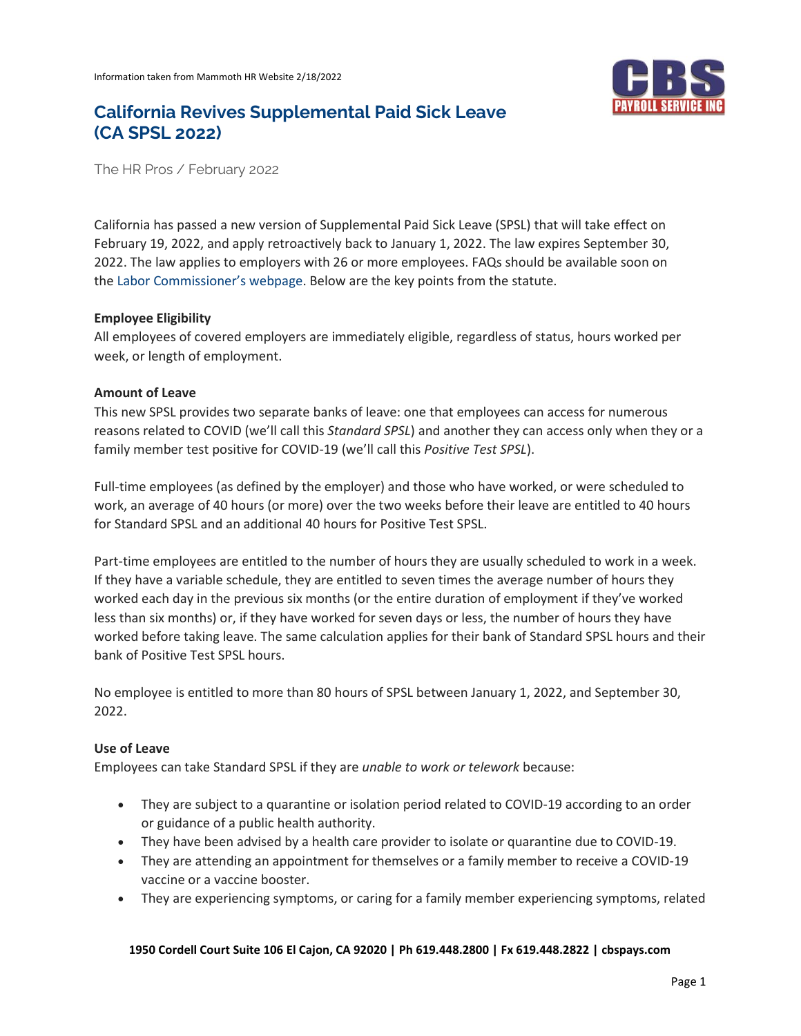

# **California Revives Supplemental Paid Sick Leave (CA SPSL 2022)**

The HR Pros / February 2022

California has passed a new version of Supplemental Paid Sick Leave (SPSL) that will take effect on February 19, 2022, and apply retroactively back to January 1, 2022. The law expires September 30, 2022. The law applies to employers with 26 or more employees. FAQs should be available soon on the [Labor Commissioner's webpa](https://www.dir.ca.gov/dlse/COVID19resources/)ge. Below are the key points from the statute.

## **Employee Eligibility**

All employees of covered employers are immediately eligible, regardless of status, hours worked per week, or length of employment.

## **Amount of Leave**

This new SPSL provides two separate banks of leave: one that employees can access for numerous reasons related to COVID (we'll call this *Standard SPSL*) and another they can access only when they or a family member test positive for COVID-19 (we'll call this *Positive Test SPSL*).

Full-time employees (as defined by the employer) and those who have worked, or were scheduled to work, an average of 40 hours (or more) over the two weeks before their leave are entitled to 40 hours for Standard SPSL and an additional 40 hours for Positive Test SPSL.

Part-time employees are entitled to the number of hours they are usually scheduled to work in a week. If they have a variable schedule, they are entitled to seven times the average number of hours they worked each day in the previous six months (or the entire duration of employment if they've worked less than six months) or, if they have worked for seven days or less, the number of hours they have worked before taking leave. The same calculation applies for their bank of Standard SPSL hours and their bank of Positive Test SPSL hours.

No employee is entitled to more than 80 hours of SPSL between January 1, 2022, and September 30, 2022.

# **Use of Leave**

Employees can take Standard SPSL if they are *unable to work or telework* because:

- They are subject to a quarantine or isolation period related to COVID-19 according to an order or guidance of a public health authority.
- They have been advised by a health care provider to isolate or quarantine due to COVID-19.
- They are attending an appointment for themselves or a family member to receive a COVID-19 vaccine or a vaccine booster.
- They are experiencing symptoms, or caring for a family member experiencing symptoms, related

#### **1950 Cordell Court Suite 106 El Cajon, CA 92020 | Ph 619.448.2800 | Fx 619.448.2822 | cbspays.com**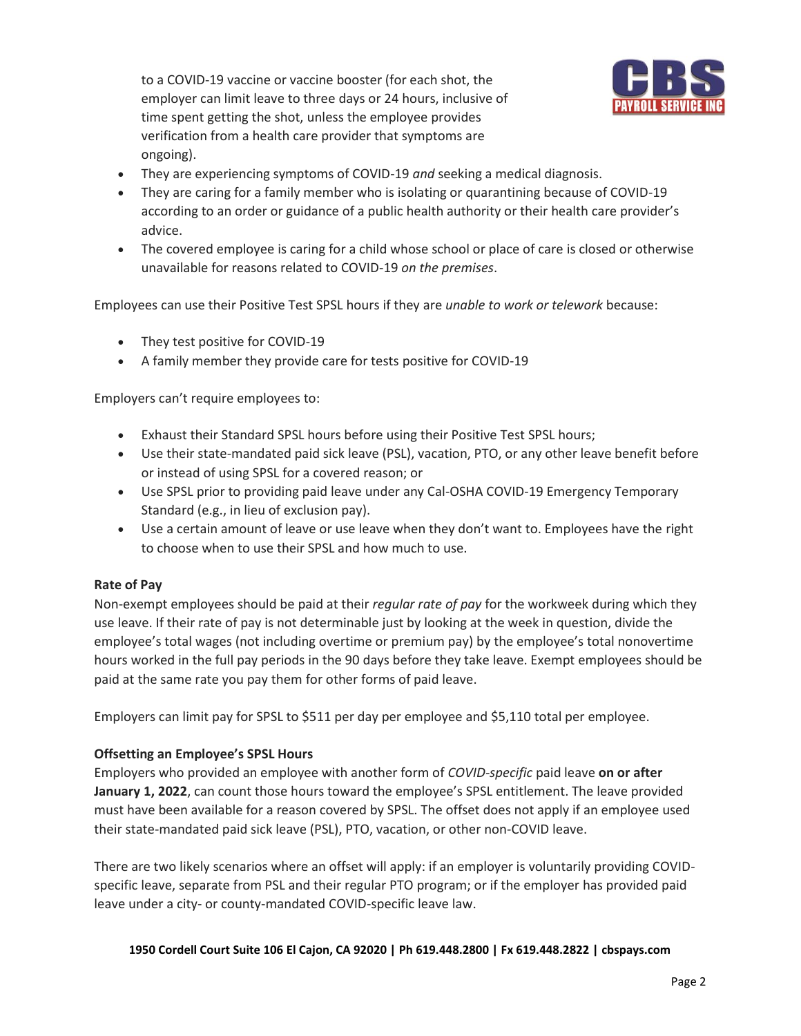to a COVID-19 vaccine or vaccine booster (for each shot, the employer can limit leave to three days or 24 hours, inclusive of time spent getting the shot, unless the employee provides verification from a health care provider that symptoms are ongoing).



- They are experiencing symptoms of COVID-19 *and* seeking a medical diagnosis.
- They are caring for a family member who is isolating or quarantining because of COVID-19 according to an order or guidance of a public health authority or their health care provider's advice.
- The covered employee is caring for a child whose school or place of care is closed or otherwise unavailable for reasons related to COVID-19 *on the premises*.

Employees can use their Positive Test SPSL hours if they are *unable to work or telework* because:

- They test positive for COVID-19
- A family member they provide care for tests positive for COVID-19

Employers can't require employees to:

- Exhaust their Standard SPSL hours before using their Positive Test SPSL hours;
- Use their state-mandated paid sick leave (PSL), vacation, PTO, or any other leave benefit before or instead of using SPSL for a covered reason; or
- Use SPSL prior to providing paid leave under any Cal-OSHA COVID-19 Emergency Temporary Standard (e.g., in lieu of exclusion pay).
- Use a certain amount of leave or use leave when they don't want to. Employees have the right to choose when to use their SPSL and how much to use.

#### **Rate of Pay**

Non-exempt employees should be paid at their *regular rate of pay* for the workweek during which they use leave. If their rate of pay is not determinable just by looking at the week in question, divide the employee's total wages (not including overtime or premium pay) by the employee's total nonovertime hours worked in the full pay periods in the 90 days before they take leave. Exempt employees should be paid at the same rate you pay them for other forms of paid leave.

Employers can limit pay for SPSL to \$511 per day per employee and \$5,110 total per employee.

# **Offsetting an Employee's SPSL Hours**

Employers who provided an employee with another form of *COVID-specific* paid leave **on or after January 1, 2022**, can count those hours toward the employee's SPSL entitlement. The leave provided must have been available for a reason covered by SPSL. The offset does not apply if an employee used their state-mandated paid sick leave (PSL), PTO, vacation, or other non-COVID leave.

There are two likely scenarios where an offset will apply: if an employer is voluntarily providing COVIDspecific leave, separate from PSL and their regular PTO program; or if the employer has provided paid leave under a city- or county-mandated COVID-specific leave law.

**1950 Cordell Court Suite 106 El Cajon, CA 92020 | Ph 619.448.2800 | Fx 619.448.2822 | cbspays.com**